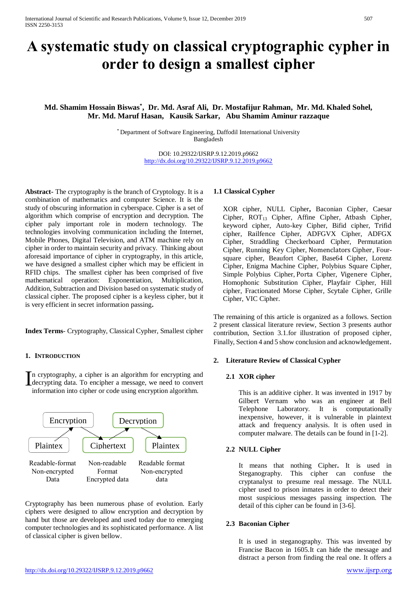# **A systematic study on classical cryptographic cypher in order to design a smallest cipher**

# **Md. Shamim Hossain Biswas\* , Dr. Md. Asraf Ali, Dr. Mostafijur Rahman, Mr. Md. Khaled Sohel, Mr. Md. Maruf Hasan, Kausik Sarkar, Abu Shamim Aminur razzaque**

\* Department of Software Engineering, Daffodil International University Bangladesh

> DOI: 10.29322/IJSRP.9.12.2019.p9662 <http://dx.doi.org/10.29322/IJSRP.9.12.2019.p9662>

**Abstract-** The cryptography is the branch of Cryptology. It is a combination of mathematics and computer Science. It is the study of obscuring information in cyberspace. Cipher is a set of algorithm which comprise of encryption and decryption. The cipher paly important role in modern technology. The technologies involving communication including the Internet, Mobile Phones, Digital Television, and ATM machine rely on cipher in order to maintain security and privacy. Thinking about aforesaid importance of cipher in cryptography, in this article, we have designed a smallest cipher which may be efficient in RFID chips. The smallest cipher has been comprised of five mathematical operation: Exponentiation, Multiplication, Addition, Subtraction and Division based on systematic study of classical cipher. The proposed cipher is a keyless cipher, but it is very efficient in secret information passing**.** 

**Index Terms**- Cryptography, Classical Cypher, Smallest cipher

# **1. INTRODUCTION**

n cryptography, a cipher is an algorithm for encrypting and In cryptography, a cipher is an algorithm for encrypting and decrypting data. To encipher a message, we need to convert information into cipher or code using encryption algorithm information into cipher or code using encryption algorithm.



Cryptography has been numerous phase of evolution. Early ciphers were designed to allow encryption and decryption by hand but those are developed and used today due to emerging computer technologies and its sophisticated performance. A list of classical cipher is given bellow.

## **1.1 Classical Cypher**

XOR cipher, NULL Cipher**,** Baconian Cipher, Caesar Cipher, ROT<sup>13</sup> Cipher, Affine Cipher, Atbash Cipher, keyword cipher, Auto-key Cipher, Bifid cipher, Trifid cipher, Railfence Cipher, ADFGVX Cipher, ADFGX Cipher, Straddling Checkerboard Cipher, Permutation Cipher, Running Key Cipher, Nomenclators Cipher, Foursquare cipher, Beaufort Cipher, Base64 Cipher, Lorenz Cipher, Enigma Machine Cipher, Polybius Square Cipher, Simple Polybius Cipher, Porta Cipher, Vigenere Cipher, Homophonic Substitution Cipher, Playfair Cipher, Hill cipher, Fractionated Morse Cipher, Scytale Cipher, Grille Cipher, VIC Cipher.

The remaining of this article is organized as a follows. Section 2 present classical literature review, Section 3 presents author contribution, Section 3.1.for illustration of proposed cipher, Finally, Section 4 and 5 show conclusion and acknowledgement.

# **2. Literature Review of Classical Cypher**

#### **2.1 XOR cipher**

This is an additive cipher. It was invented in 1917 by Gilbert Vernam who was an engineer at Bell Telephone Laboratory. It is computationally inexpensive, however, it is vulnerable in plaintext attack and frequency analysis. It is often used in computer malware. The details can be found in [1-2].

#### **2.2 NULL Cipher**

It means that nothing Cipher**.** It is used in Steganography. This cipher can confuse the cryptanalyst to presume real message. The NULL cipher used to prison inmates in order to detect their most suspicious messages passing inspection. The detail of this cipher can be found in [3-6].

#### **2.3 Baconian Cipher**

It is used in steganography. This was invented by Francise Bacon in 1605.It can hide the message and distract a person from finding the real one. It offers a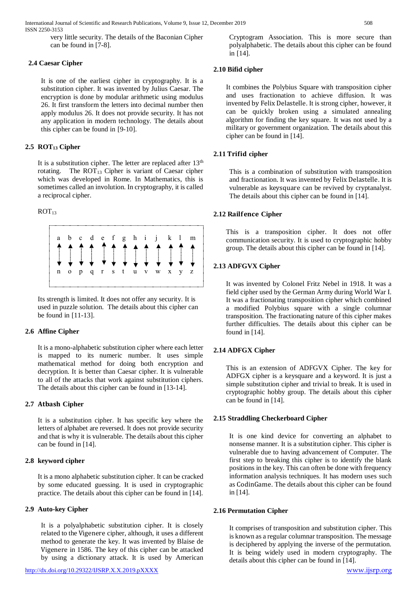International Journal of Scientific and Research Publications, Volume 9, Issue 12, December 2019 508 ISSN 2250-3153

very little security. The details of the Baconian Cipher can be found in [7-8].

#### **2.4 Caesar Cipher**

It is one of the earliest cipher in cryptography. It is a substitution cipher. It was invented by Julius Caesar. The encryption is done by modular arithmetic using modulus 26. It first transform the letters into decimal number then apply modulus 26. It does not provide security. It has not any application in modern technology. The details about this cipher can be found in [9-10].

#### **2.5 ROT<sup>13</sup> Cipher**

It is a substitution cipher. The letter are replaced after  $13<sup>th</sup>$ rotating. The  $ROT_{13}$  Cipher is variant of Caesar cipher which was developed in Rome. In Mathematics, this is sometimes called an involution. In cryptography, it is called a reciprocal cipher.

## $ROT<sub>13</sub>$



Its strength is limited. It does not offer any security. It is used in puzzle solution. The details about this cipher can be found in [11-13].

#### **2.6 Affine Cipher**

It is a mono-alphabetic substitution cipher where each letter is mapped to its numeric number. It uses simple mathematical method for doing both encryption and decryption. It is better than Caesar cipher. It is vulnerable to all of the attacks that work against substitution ciphers. The details about this cipher can be found in [13-14].

#### **2.7 Cipher**

It is a substitution cipher. It has specific key where the letters of alphabet are reversed. It does not provide security and that is why it is vulnerable. The details about this cipher can be found in [14].

## **2.8 keyword cipher**

It is a mono alphabetic substitution cipher. It can be cracked by some educated guessing. It is used in cryptographic practice. The details about this cipher can be found in [14].

# **2.9 Auto-key Cipher**

It is a polyalphabetic substitution cipher. It is closely related to the Vigenere cipher, although, it uses a different method to generate the key. It was invented by Blaise de Vigenere in 1586. The key of this cipher can be attacked by using a dictionary attack. It is used by American

Cryptogram Association. This is more secure than polyalphabetic. The details about this cipher can be found in [14].

#### **2.10 Bifid cipher**

It combines the Polybius Square with transposition cipher and uses fractionation to achieve diffusion. It was invented by Felix Delastelle. It is strong cipher, however, it can be quickly broken using a simulated annealing algorithm for finding the key square. It was not used by a military or government organization. The details about this cipher can be found in [14].

#### **2.11 cipher**

This is a combination of substitution with transposition and fractionation. It was invented by Felix Delastelle. It is vulnerable as keysquare can be revived by cryptanalyst. The details about this cipher can be found in [14].

#### **2.12 R Cipher**

This is a transposition cipher. It does not offer communication security. It is used to cryptographic hobby group. The details about this cipher can be found in [14].

#### **2.13 ADFGVX Cipher**

It was invented by Colonel Fritz Nebel in 1918. It was a field cipher used by the German Army during World War I. It was a fractionating transposition cipher which combined a modified Polybius square with a single columnar transposition. The fractionating nature of this cipher makes further difficulties. The details about this cipher can be found in [14].

## **2.14 ADFGX Cipher**

This is an extension of ADFGVX Cipher. The key for ADFGX cipher is a keysquare and a keyword. It is just a simple substitution cipher and trivial to break. It is used in cryptographic hobby group. The details about this cipher can be found in [14].

#### **2.15 Straddling Checkerboard Cipher**

It is one kind device for converting an alphabet to nonsense manner. It is a substitution cipher. This cipher is vulnerable due to having advancement of Computer. The first step to breaking this cipher is to identify the blank positions in the key. This can often be done with frequency information analysis techniques. It has modern uses such as CodinGame. The details about this cipher can be found in [14].

#### **2.16 Permutation Cipher**

It comprises of transposition and substitution cipher. This is known as a regular columnar transposition. The message is deciphered by applying the inverse of the permutation. It is being widely used in modern cryptography. The details about this cipher can be found in [14].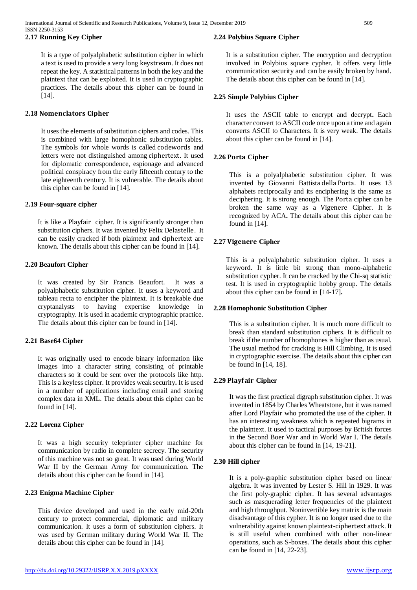# **2.17 Running Key Cipher**

It is a type of polyalphabetic substitution cipher in which a text is used to provide a very long keystream. It does not repeat the key. A statistical patterns in both the key and the plaintext that can be exploited. It is used in cryptographic practices. The details about this cipher can be found in [14].

## **2.18**

It uses the elements of substitution ciphers and codes. This is combined with large homophonic substitution tables. The symbols for whole words is called codewords and letters were not distinguished among ciphertext. It used for diplomatic correspondence, espionage and advanced political conspiracy from the early fifteenth century to the late eighteenth century. It is vulnerable. The details about this cipher can be found in [14].

#### **2.19 Four-square cipher**

It is like a Playfair cipher. It is significantly stronger than substitution ciphers. It was invented by Felix Delastelle. It can be easily cracked if both plaintext and ciphertext are known. The details about this cipher can be found in [14].

## **2.20 Beaufort Cipher**

It was created by Sir Francis Beaufort. It was a polyalphabetic substitution cipher. It uses a keyword and tableau recta to encipher the plaintext. It is breakable due cryptanalysts to having expertise knowledge in cryptography. It is used in academic cryptographic practice. The details about this cipher can be found in [14].

# **2.21 Base64 Cipher**

It was originally used to encode binary information like images into a character string consisting of printable characters so it could be sent over the protocols like http. This is a keyless cipher. It provides weak security**.** It is used in a number of applications including email and storing complex data in XML. The details about this cipher can be found in [14].

#### **2.22 Lorenz Cipher**

It was a high security teleprinter cipher machine for communication by radio in complete secrecy. The security of this machine was not so great. It was used during World War II by the German Army for communication. The details about this cipher can be found in [14].

#### **2.23 Enigma Machine Cipher**

This device developed and used in the early mid-20th century to protect commercial, diplomatic and military communication. It uses a form of substitution ciphers. It was used by German military during World War II. The details about this cipher can be found in [14].

It is a substitution cipher. The encryption and decryption involved in Polybius square cypher. It offers very little communication security and can be easily broken by hand. The details about this cipher can be found in [14].

#### **2.25 Simple Polybius Cipher**

It uses the ASCII table to encrypt and decrypt**.** Each character convert to ASCII code once upon a time and again converts ASCII to Characters. It is very weak. The details about this cipher can be found in [14].

# **2.26 Cipher**

This is a polyalphabetic substitution cipher. It was invented by Giovanni Battista della Porta. It uses 13 alphabets reciprocally and its enciphering is the same as deciphering. It is strong enough. The Porta cipher can be broken the same way as a Vigenere Cipher. It is recognized by ACA**.** The details about this cipher can be found in [14].

# **2.27 Cipher**

This is a polyalphabetic substitution cipher. It uses a keyword. It is little bit strong than mono-alphabetic substitution cypher. It can be cracked by the Chi-sq statistic test. It is used in cryptographic hobby group. The details about this cipher can be found in [14-17]**.**

#### **2.28 Homophonic Substitution Cipher**

This is a substitution cipher. It is much more difficult to break than standard substitution ciphers. It is difficult to break if the number of homophones is higher than as usual. The usual method for cracking is Hill Climbing, It is used in cryptographic exercise. The details about this cipher can be found in [14, 18].

## **2.29 Cipher**

It was the first practical digraph substitution cipher. It was invented in 1854 by Charles Wheatstone, but it was named after Lord Playfair who promoted the use of the cipher. It has an interesting weakness which is repeated bigrams in the plaintext. It used to tactical purposes by British forces in the Second Boer War and in World War I. The details about this cipher can be found in [14, 19-21].

#### **2.30 Hill cipher**

It is a poly-graphic substitution cipher based on linear algebra. It was invented by Lester S. Hill in 1929. It was the first poly-graphic cipher. It has several advantages such as masquerading letter frequencies of the plaintext and high throughput. Noninvertible key matrix is the main disadvantage of this cypher. It is no longer used due to the vulnerability against known plaintext-ciphertext attack. It is still useful when combined with other non-linear operations, such as S-boxes. The details about this cipher can be found in [14, 22-23].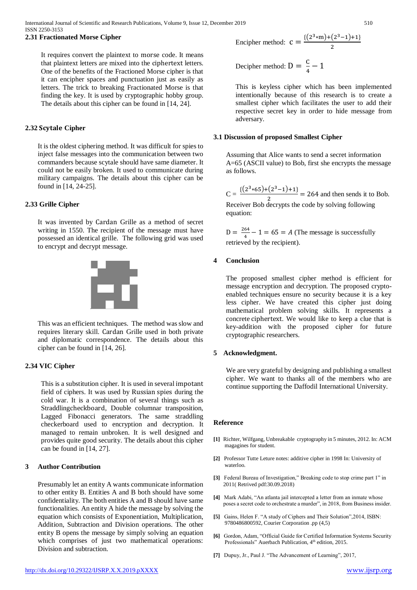#### **2.31 Fractionated Morse Cipher**

It requires convert the plaintext to morse code. It means that plaintext letters are mixed into the ciphertext letters. One of the benefits of the Fractioned Morse cipher is that it can encipher spaces and punctuation just as easily as letters. The trick to breaking Fractionated Morse is that finding the key. It is used by cryptographic hobby group. The details about this cipher can be found in [14, 24].

#### **2.32 Cipher**

It is the oldest ciphering method. It was difficult for spies to inject false messages into the communication between two commanders because scytale should have same diameter. It could not be easily broken. It used to communicate during military campaigns. The details about this cipher can be found in [14, 24-25].

#### **2.33 Grille Cipher**

It was invented by Cardan Grille as a method of secret writing in 1550. The recipient of the message must have possessed an identical grille. The following grid was used to encrypt and decrypt message.



This was an efficient techniques. The method was slow and requires literary skill. Cardan Grille used in both private and diplomatic correspondence. The details about this cipher can be found in [14, 26].

#### **2.34 VIC Cipher**

This is a substitution cipher. It is used in several impotant field of ciphers. It was used by Russian spies during the cold war. It is a combination of several things such as Straddlingcheckboard, Double columnar transposition, Lagged Fibonacci generators. The same straddling checkerboard used to encryption and decryption. It managed to remain unbroken. It is well designed and provides quite good security. The details about this cipher can be found in [14, 27].

#### **3 Author Contribution**

Presumably let an entity A wants communicate information to other entity B. Entities A and B both should have some confidentiality. The both entities A and B should have same functionalities. An entity A hide the message by solving the equation which consists of Exponentiation, Multiplication, Addition, Subtraction and Division operations. The other entity B opens the message by simply solving an equation which comprises of just two mathematical operations: Division and subtraction.

Decipher method: 
$$
D = \frac{C}{4} - 1
$$

This is keyless cipher which has been implemented intentionally because of this research is to create a smallest cipher which facilitates the user to add their respective secret key in order to hide message from adversary.

#### **3.1 Discussion of proposed Smallest Cipher**

Assuming that Alice wants to send a secret information A=65 (ASCII value) to Bob, first she encrypts the message as follows.

 $C = \frac{\{(2^3 \times 65) + (2^3 - 1) + 1\}}{2}$  $\frac{(2-2)^{1/2}}{2}$  = 264 and then sends it to Bob. Receiver Bob decrypts the code by solving following equation:

 $D = \frac{264}{4}$  $\frac{64}{4} - 1 = 65 = A$  (The message is successfully retrieved by the recipient).

# **4 Conclusion**

The proposed smallest cipher method is efficient for message encryption and decryption. The proposed cryptoenabled techniques ensure no security because it is a key less cipher. We have created this cipher just doing mathematical problem solving skills. It represents a concrete ciphertext. We would like to keep a clue that is key-addition with the proposed cipher for future cryptographic researchers.

#### **5 Acknowledgment.**

We are very grateful by designing and publishing a smallest cipher. We want to thanks all of the members who are continue supporting the Daffodil International University.

#### **Reference**

- **[1]** Richter, Wilfgang, Unbreakable cryptography in 5 minutes, 2012. In: ACM magagines for student.
- **[2]** Professor Tutte Leture notes: additive cipher in 1998 In: University of waterloo.
- **[3]** Federal Bureau of Investigation," Breaking code to stop crime part 1" in 2011( Retrived pdf:30.09.2018)
- **[4]** Mark Adabi, "An atlanta jail intercepted a letter from an inmate whose poses a secret code to orchestrate a murder", in 2018, from Business insider.
- **[5]** Gains, Helen F. "A study of Ciphers and Their Solution",2014, ISBN: 9780486800592, Courier Corporation .pp (4,5)
- **[6]** Gordon, Adam, "Official Guide for Certified Information Systems Security Professionals" Auerbach Publication, 4<sup>th</sup> edition, 2015.
- **[7]** Dupuy, Jr., Paul J. "The Advancement of Learning", 2017,